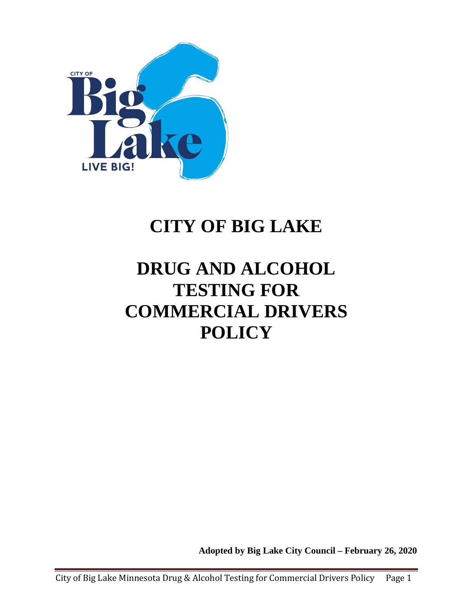

# **CITY OF BIG LAKE**

# **DRUG AND ALCOHOL TESTING FOR COMMERCIAL DRIVERS POLICY**

**Adopted by Big Lake City Council – February 26, 2020**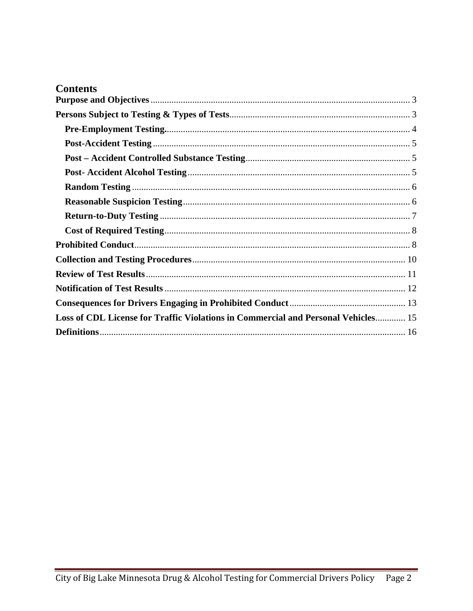| Loss of CDL License for Traffic Violations in Commercial and Personal Vehicles 15 |  |
|-----------------------------------------------------------------------------------|--|
|                                                                                   |  |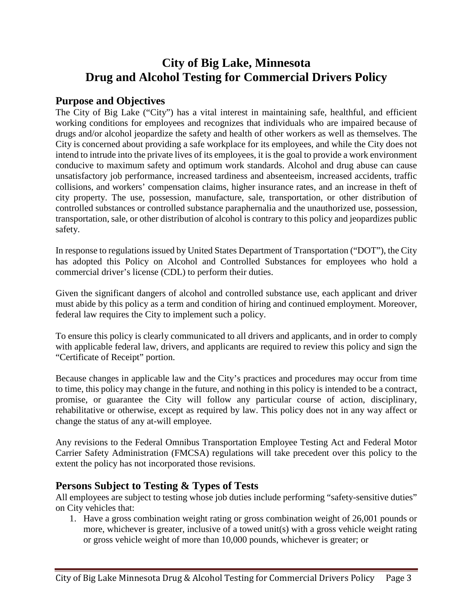## **City of Big Lake, Minnesota Drug and Alcohol Testing for Commercial Drivers Policy**

## <span id="page-2-0"></span>**Purpose and Objectives**

The City of Big Lake ("City") has a vital interest in maintaining safe, healthful, and efficient working conditions for employees and recognizes that individuals who are impaired because of drugs and/or alcohol jeopardize the safety and health of other workers as well as themselves. The City is concerned about providing a safe workplace for its employees, and while the City does not intend to intrude into the private lives of its employees, it is the goal to provide a work environment conducive to maximum safety and optimum work standards. Alcohol and drug abuse can cause unsatisfactory job performance, increased tardiness and absenteeism, increased accidents, traffic collisions, and workers' compensation claims, higher insurance rates, and an increase in theft of city property. The use, possession, manufacture, sale, transportation, or other distribution of controlled substances or controlled substance paraphernalia and the unauthorized use, possession, transportation, sale, or other distribution of alcohol is contrary to this policy and jeopardizes public safety.

In response to regulations issued by United States Department of Transportation ("DOT"), the City has adopted this Policy on Alcohol and Controlled Substances for employees who hold a commercial driver's license (CDL) to perform their duties.

Given the significant dangers of alcohol and controlled substance use, each applicant and driver must abide by this policy as a term and condition of hiring and continued employment. Moreover, federal law requires the City to implement such a policy.

To ensure this policy is clearly communicated to all drivers and applicants, and in order to comply with applicable federal law, drivers, and applicants are required to review this policy and sign the "Certificate of Receipt" portion.

Because changes in applicable law and the City's practices and procedures may occur from time to time, this policy may change in the future, and nothing in this policy is intended to be a contract, promise, or guarantee the City will follow any particular course of action, disciplinary, rehabilitative or otherwise, except as required by law. This policy does not in any way affect or change the status of any at-will employee.

Any revisions to the Federal Omnibus Transportation Employee Testing Act and Federal Motor Carrier Safety Administration (FMCSA) regulations will take precedent over this policy to the extent the policy has not incorporated those revisions.

## <span id="page-2-1"></span>**Persons Subject to Testing & Types of Tests**

All employees are subject to testing whose job duties include performing "safety-sensitive duties" on City vehicles that:

1. Have a gross combination weight rating or gross combination weight of 26,001 pounds or more, whichever is greater, inclusive of a towed unit(s) with a gross vehicle weight rating or gross vehicle weight of more than 10,000 pounds, whichever is greater; or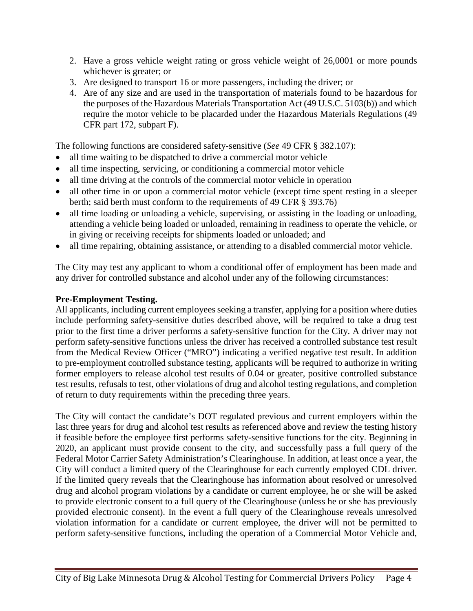- 2. Have a gross vehicle weight rating or gross vehicle weight of 26,0001 or more pounds whichever is greater; or
- 3. Are designed to transport 16 or more passengers, including the driver; or
- 4. Are of any size and are used in the transportation of materials found to be hazardous for the purposes of the Hazardous Materials Transportation Act (49 U.S.C. 5103(b)) and which require the motor vehicle to be placarded under the Hazardous Materials Regulations (49 CFR part 172, subpart F).

The following functions are considered safety-sensitive (*See* 49 CFR § 382.107):

- all time waiting to be dispatched to drive a commercial motor vehicle
- all time inspecting, servicing, or conditioning a commercial motor vehicle
- all time driving at the controls of the commercial motor vehicle in operation
- all other time in or upon a commercial motor vehicle (except time spent resting in a sleeper berth; said berth must conform to the requirements of 49 CFR § 393.76)
- all time loading or unloading a vehicle, supervising, or assisting in the loading or unloading, attending a vehicle being loaded or unloaded, remaining in readiness to operate the vehicle, or in giving or receiving receipts for shipments loaded or unloaded; and
- all time repairing, obtaining assistance, or attending to a disabled commercial motor vehicle.

The City may test any applicant to whom a conditional offer of employment has been made and any driver for controlled substance and alcohol under any of the following circumstances:

#### <span id="page-3-0"></span>**Pre-Employment Testing.**

All applicants, including current employees seeking a transfer, applying for a position where duties include performing safety-sensitive duties described above, will be required to take a drug test prior to the first time a driver performs a safety-sensitive function for the City. A driver may not perform safety-sensitive functions unless the driver has received a controlled substance test result from the Medical Review Officer ("MRO") indicating a verified negative test result. In addition to pre-employment controlled substance testing, applicants will be required to authorize in writing former employers to release alcohol test results of 0.04 or greater, positive controlled substance test results, refusals to test, other violations of drug and alcohol testing regulations, and completion of return to duty requirements within the preceding three years.

The City will contact the candidate's DOT regulated previous and current employers within the last three years for drug and alcohol test results as referenced above and review the testing history if feasible before the employee first performs safety-sensitive functions for the city. Beginning in 2020, an applicant must provide consent to the city, and successfully pass a full query of the Federal Motor Carrier Safety Administration's Clearinghouse. In addition, at least once a year, the City will conduct a limited query of the Clearinghouse for each currently employed CDL driver. If the limited query reveals that the Clearinghouse has information about resolved or unresolved drug and alcohol program violations by a candidate or current employee, he or she will be asked to provide electronic consent to a full query of the Clearinghouse (unless he or she has previously provided electronic consent). In the event a full query of the Clearinghouse reveals unresolved violation information for a candidate or current employee, the driver will not be permitted to perform safety-sensitive functions, including the operation of a Commercial Motor Vehicle and,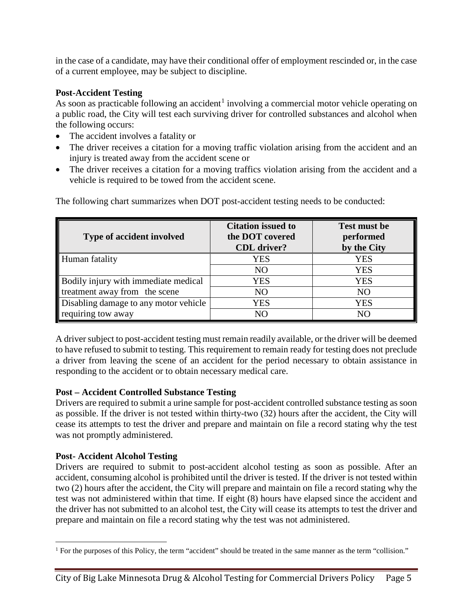in the case of a candidate, may have their conditional offer of employment rescinded or, in the case of a current employee, may be subject to discipline.

## <span id="page-4-0"></span>**Post-Accident Testing**

As soon as practicable following an accident<sup>[1](#page-4-3)</sup> involving a commercial motor vehicle operating on a public road, the City will test each surviving driver for controlled substances and alcohol when the following occurs:

- The accident involves a fatality or
- The driver receives a citation for a moving traffic violation arising from the accident and an injury is treated away from the accident scene or
- The driver receives a citation for a moving traffics violation arising from the accident and a vehicle is required to be towed from the accident scene.

| <b>Type of accident involved</b>      | <b>Citation issued to</b><br>the DOT covered<br><b>CDL</b> driver? | <b>Test must be</b><br>performed<br>by the City |
|---------------------------------------|--------------------------------------------------------------------|-------------------------------------------------|
| Human fatality                        | <b>YES</b>                                                         | <b>YES</b>                                      |
|                                       | N <sub>O</sub>                                                     | <b>YES</b>                                      |
| Bodily injury with immediate medical  | <b>YES</b>                                                         | <b>YES</b>                                      |
| treatment away from the scene         | N <sub>O</sub>                                                     | N <sub>O</sub>                                  |
| Disabling damage to any motor vehicle | YES                                                                | <b>YES</b>                                      |
| requiring tow away                    | NΩ                                                                 | NΟ                                              |

The following chart summarizes when DOT post-accident testing needs to be conducted:

A driver subject to post-accident testing must remain readily available, or the driver will be deemed to have refused to submit to testing. This requirement to remain ready for testing does not preclude a driver from leaving the scene of an accident for the period necessary to obtain assistance in responding to the accident or to obtain necessary medical care.

## <span id="page-4-1"></span>**Post – Accident Controlled Substance Testing**

Drivers are required to submit a urine sample for post-accident controlled substance testing as soon as possible. If the driver is not tested within thirty-two (32) hours after the accident, the City will cease its attempts to test the driver and prepare and maintain on file a record stating why the test was not promptly administered.

## <span id="page-4-2"></span>**Post- Accident Alcohol Testing**

Drivers are required to submit to post-accident alcohol testing as soon as possible. After an accident, consuming alcohol is prohibited until the driver is tested. If the driver is not tested within two (2) hours after the accident, the City will prepare and maintain on file a record stating why the test was not administered within that time. If eight (8) hours have elapsed since the accident and the driver has not submitted to an alcohol test, the City will cease its attempts to test the driver and prepare and maintain on file a record stating why the test was not administered.

<span id="page-4-3"></span> <sup>1</sup> For the purposes of this Policy, the term "accident" should be treated in the same manner as the term "collision."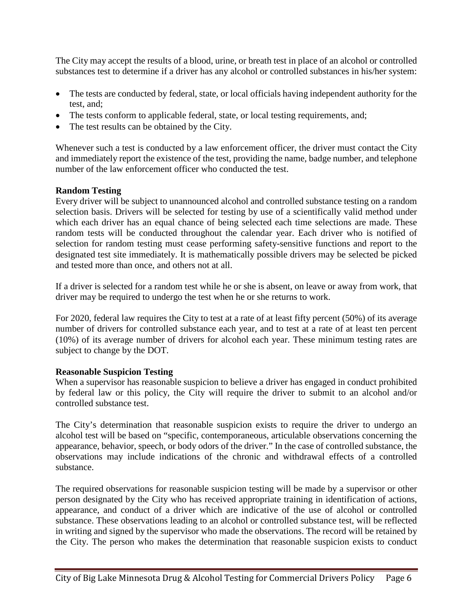The City may accept the results of a blood, urine, or breath test in place of an alcohol or controlled substances test to determine if a driver has any alcohol or controlled substances in his/her system:

- The tests are conducted by federal, state, or local officials having independent authority for the test, and;
- The tests conform to applicable federal, state, or local testing requirements, and;
- The test results can be obtained by the City.

Whenever such a test is conducted by a law enforcement officer, the driver must contact the City and immediately report the existence of the test, providing the name, badge number, and telephone number of the law enforcement officer who conducted the test.

## <span id="page-5-0"></span>**Random Testing**

Every driver will be subject to unannounced alcohol and controlled substance testing on a random selection basis. Drivers will be selected for testing by use of a scientifically valid method under which each driver has an equal chance of being selected each time selections are made. These random tests will be conducted throughout the calendar year. Each driver who is notified of selection for random testing must cease performing safety-sensitive functions and report to the designated test site immediately. It is mathematically possible drivers may be selected be picked and tested more than once, and others not at all.

If a driver is selected for a random test while he or she is absent, on leave or away from work, that driver may be required to undergo the test when he or she returns to work.

For 2020, federal law requires the City to test at a rate of at least fifty percent (50%) of its average number of drivers for controlled substance each year, and to test at a rate of at least ten percent (10%) of its average number of drivers for alcohol each year. These minimum testing rates are subject to change by the DOT.

### <span id="page-5-1"></span>**Reasonable Suspicion Testing**

When a supervisor has reasonable suspicion to believe a driver has engaged in conduct prohibited by federal law or this policy, the City will require the driver to submit to an alcohol and/or controlled substance test.

The City's determination that reasonable suspicion exists to require the driver to undergo an alcohol test will be based on "specific, contemporaneous, articulable observations concerning the appearance, behavior, speech, or body odors of the driver." In the case of controlled substance, the observations may include indications of the chronic and withdrawal effects of a controlled substance.

The required observations for reasonable suspicion testing will be made by a supervisor or other person designated by the City who has received appropriate training in identification of actions, appearance, and conduct of a driver which are indicative of the use of alcohol or controlled substance. These observations leading to an alcohol or controlled substance test, will be reflected in writing and signed by the supervisor who made the observations. The record will be retained by the City. The person who makes the determination that reasonable suspicion exists to conduct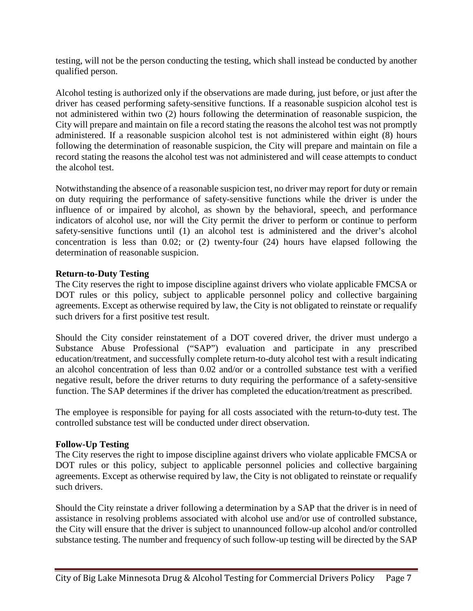testing, will not be the person conducting the testing, which shall instead be conducted by another qualified person.

Alcohol testing is authorized only if the observations are made during, just before, or just after the driver has ceased performing safety-sensitive functions. If a reasonable suspicion alcohol test is not administered within two (2) hours following the determination of reasonable suspicion, the City will prepare and maintain on file a record stating the reasons the alcohol test was not promptly administered. If a reasonable suspicion alcohol test is not administered within eight (8) hours following the determination of reasonable suspicion, the City will prepare and maintain on file a record stating the reasons the alcohol test was not administered and will cease attempts to conduct the alcohol test.

Notwithstanding the absence of a reasonable suspicion test, no driver may report for duty or remain on duty requiring the performance of safety-sensitive functions while the driver is under the influence of or impaired by alcohol, as shown by the behavioral, speech, and performance indicators of alcohol use, nor will the City permit the driver to perform or continue to perform safety-sensitive functions until (1) an alcohol test is administered and the driver's alcohol concentration is less than 0.02; or (2) twenty-four (24) hours have elapsed following the determination of reasonable suspicion.

#### <span id="page-6-0"></span>**Return-to-Duty Testing**

The City reserves the right to impose discipline against drivers who violate applicable FMCSA or DOT rules or this policy, subject to applicable personnel policy and collective bargaining agreements. Except as otherwise required by law, the City is not obligated to reinstate or requalify such drivers for a first positive test result.

Should the City consider reinstatement of a DOT covered driver, the driver must undergo a Substance Abuse Professional ("SAP") evaluation and participate in any prescribed education/treatment, and successfully complete return-to-duty alcohol test with a result indicating an alcohol concentration of less than 0.02 and/or or a controlled substance test with a verified negative result, before the driver returns to duty requiring the performance of a safety-sensitive function. The SAP determines if the driver has completed the education/treatment as prescribed.

The employee is responsible for paying for all costs associated with the return-to-duty test. The controlled substance test will be conducted under direct observation.

#### **Follow-Up Testing**

The City reserves the right to impose discipline against drivers who violate applicable FMCSA or DOT rules or this policy, subject to applicable personnel policies and collective bargaining agreements. Except as otherwise required by law, the City is not obligated to reinstate or requalify such drivers.

Should the City reinstate a driver following a determination by a SAP that the driver is in need of assistance in resolving problems associated with alcohol use and/or use of controlled substance, the City will ensure that the driver is subject to unannounced follow-up alcohol and/or controlled substance testing. The number and frequency of such follow-up testing will be directed by the SAP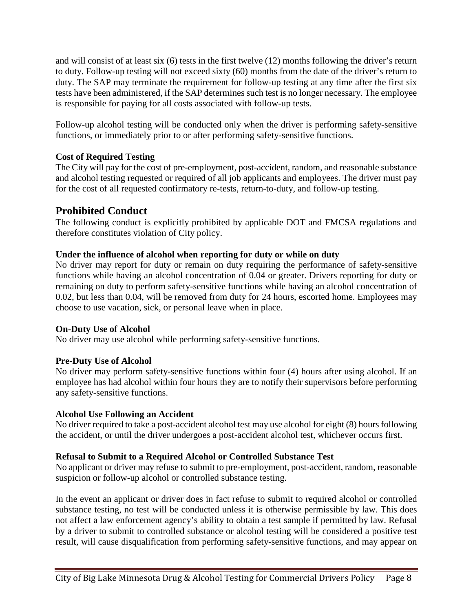and will consist of at least six (6) tests in the first twelve (12) months following the driver's return to duty. Follow-up testing will not exceed sixty (60) months from the date of the driver's return to duty. The SAP may terminate the requirement for follow-up testing at any time after the first six tests have been administered, if the SAP determines such test is no longer necessary. The employee is responsible for paying for all costs associated with follow-up tests.

Follow-up alcohol testing will be conducted only when the driver is performing safety-sensitive functions, or immediately prior to or after performing safety-sensitive functions.

#### <span id="page-7-0"></span>**Cost of Required Testing**

The City will pay for the cost of pre-employment, post-accident, random, and reasonable substance and alcohol testing requested or required of all job applicants and employees. The driver must pay for the cost of all requested confirmatory re-tests, return-to-duty, and follow-up testing.

## <span id="page-7-1"></span>**Prohibited Conduct**

The following conduct is explicitly prohibited by applicable DOT and FMCSA regulations and therefore constitutes violation of City policy.

#### **Under the influence of alcohol when reporting for duty or while on duty**

No driver may report for duty or remain on duty requiring the performance of safety-sensitive functions while having an alcohol concentration of 0.04 or greater. Drivers reporting for duty or remaining on duty to perform safety-sensitive functions while having an alcohol concentration of 0.02, but less than 0.04, will be removed from duty for 24 hours, escorted home. Employees may choose to use vacation, sick, or personal leave when in place.

#### **On-Duty Use of Alcohol**

No driver may use alcohol while performing safety-sensitive functions.

### **Pre-Duty Use of Alcohol**

No driver may perform safety-sensitive functions within four (4) hours after using alcohol. If an employee has had alcohol within four hours they are to notify their supervisors before performing any safety-sensitive functions.

#### **Alcohol Use Following an Accident**

No driver required to take a post-accident alcohol test may use alcohol for eight (8) hours following the accident, or until the driver undergoes a post-accident alcohol test, whichever occurs first.

#### **Refusal to Submit to a Required Alcohol or Controlled Substance Test**

No applicant or driver may refuse to submit to pre-employment, post-accident, random, reasonable suspicion or follow-up alcohol or controlled substance testing.

In the event an applicant or driver does in fact refuse to submit to required alcohol or controlled substance testing, no test will be conducted unless it is otherwise permissible by law. This does not affect a law enforcement agency's ability to obtain a test sample if permitted by law. Refusal by a driver to submit to controlled substance or alcohol testing will be considered a positive test result, will cause disqualification from performing safety-sensitive functions, and may appear on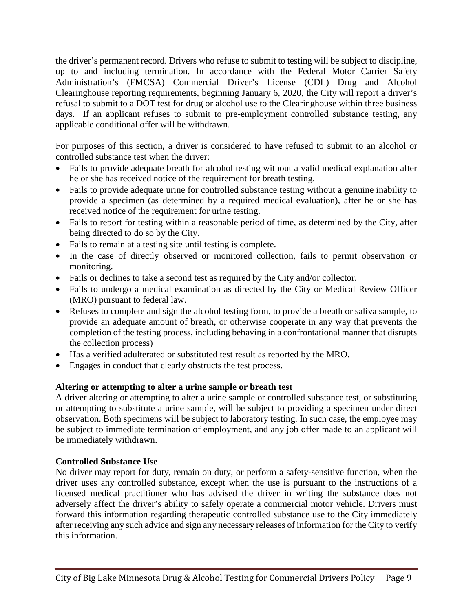the driver's permanent record. Drivers who refuse to submit to testing will be subject to discipline, up to and including termination. In accordance with the Federal Motor Carrier Safety Administration's (FMCSA) Commercial Driver's License (CDL) Drug and Alcohol Clearinghouse reporting requirements, beginning January 6, 2020, the City will report a driver's refusal to submit to a DOT test for drug or alcohol use to the Clearinghouse within three business days. If an applicant refuses to submit to pre-employment controlled substance testing, any applicable conditional offer will be withdrawn.

For purposes of this section, a driver is considered to have refused to submit to an alcohol or controlled substance test when the driver:

- Fails to provide adequate breath for alcohol testing without a valid medical explanation after he or she has received notice of the requirement for breath testing.
- Fails to provide adequate urine for controlled substance testing without a genuine inability to provide a specimen (as determined by a required medical evaluation), after he or she has received notice of the requirement for urine testing.
- Fails to report for testing within a reasonable period of time, as determined by the City, after being directed to do so by the City.
- Fails to remain at a testing site until testing is complete.
- In the case of directly observed or monitored collection, fails to permit observation or monitoring.
- Fails or declines to take a second test as required by the City and/or collector.
- Fails to undergo a medical examination as directed by the City or Medical Review Officer (MRO) pursuant to federal law.
- Refuses to complete and sign the alcohol testing form, to provide a breath or saliva sample, to provide an adequate amount of breath, or otherwise cooperate in any way that prevents the completion of the testing process, including behaving in a confrontational manner that disrupts the collection process)
- Has a verified adulterated or substituted test result as reported by the MRO.
- Engages in conduct that clearly obstructs the test process.

### **Altering or attempting to alter a urine sample or breath test**

A driver altering or attempting to alter a urine sample or controlled substance test, or substituting or attempting to substitute a urine sample, will be subject to providing a specimen under direct observation. Both specimens will be subject to laboratory testing. In such case, the employee may be subject to immediate termination of employment, and any job offer made to an applicant will be immediately withdrawn.

### **Controlled Substance Use**

No driver may report for duty, remain on duty, or perform a safety-sensitive function, when the driver uses any controlled substance, except when the use is pursuant to the instructions of a licensed medical practitioner who has advised the driver in writing the substance does not adversely affect the driver's ability to safely operate a commercial motor vehicle. Drivers must forward this information regarding therapeutic controlled substance use to the City immediately after receiving any such advice and sign any necessary releases of information for the City to verify this information.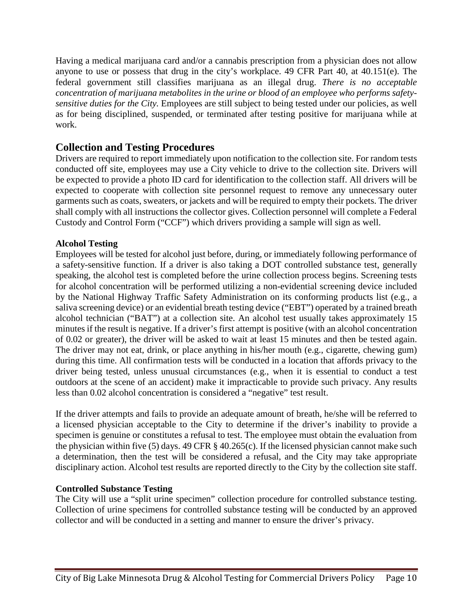Having a medical marijuana card and/or a cannabis prescription from a physician does not allow anyone to use or possess that drug in the city's workplace. 49 CFR Part 40, at 40.151(e). The federal government still classifies marijuana as an illegal drug. *There is no acceptable concentration of marijuana metabolites in the urine or blood of an employee who performs safetysensitive duties for the City.* Employees are still subject to being tested under our policies, as well as for being disciplined, suspended, or terminated after testing positive for marijuana while at work.

## <span id="page-9-0"></span>**Collection and Testing Procedures**

Drivers are required to report immediately upon notification to the collection site. For random tests conducted off site, employees may use a City vehicle to drive to the collection site. Drivers will be expected to provide a photo ID card for identification to the collection staff. All drivers will be expected to cooperate with collection site personnel request to remove any unnecessary outer garments such as coats, sweaters, or jackets and will be required to empty their pockets. The driver shall comply with all instructions the collector gives. Collection personnel will complete a Federal Custody and Control Form ("CCF") which drivers providing a sample will sign as well.

#### **Alcohol Testing**

Employees will be tested for alcohol just before, during, or immediately following performance of a safety-sensitive function. If a driver is also taking a DOT controlled substance test, generally speaking, the alcohol test is completed before the urine collection process begins. Screening tests for alcohol concentration will be performed utilizing a non-evidential screening device included by the National Highway Traffic Safety Administration on its conforming products list (e.g., a saliva screening device) or an evidential breath testing device ("EBT") operated by a trained breath alcohol technician ("BAT") at a collection site. An alcohol test usually takes approximately 15 minutes if the result is negative. If a driver's first attempt is positive (with an alcohol concentration of 0.02 or greater), the driver will be asked to wait at least 15 minutes and then be tested again. The driver may not eat, drink, or place anything in his/her mouth (e.g., cigarette, chewing gum) during this time. All confirmation tests will be conducted in a location that affords privacy to the driver being tested, unless unusual circumstances (e.g., when it is essential to conduct a test outdoors at the scene of an accident) make it impracticable to provide such privacy. Any results less than 0.02 alcohol concentration is considered a "negative" test result.

If the driver attempts and fails to provide an adequate amount of breath, he/she will be referred to a licensed physician acceptable to the City to determine if the driver's inability to provide a specimen is genuine or constitutes a refusal to test. The employee must obtain the evaluation from the physician within five (5) days. 49 CFR § 40.265(c). If the licensed physician cannot make such a determination, then the test will be considered a refusal, and the City may take appropriate disciplinary action. Alcohol test results are reported directly to the City by the collection site staff.

#### **Controlled Substance Testing**

The City will use a "split urine specimen" collection procedure for controlled substance testing. Collection of urine specimens for controlled substance testing will be conducted by an approved collector and will be conducted in a setting and manner to ensure the driver's privacy.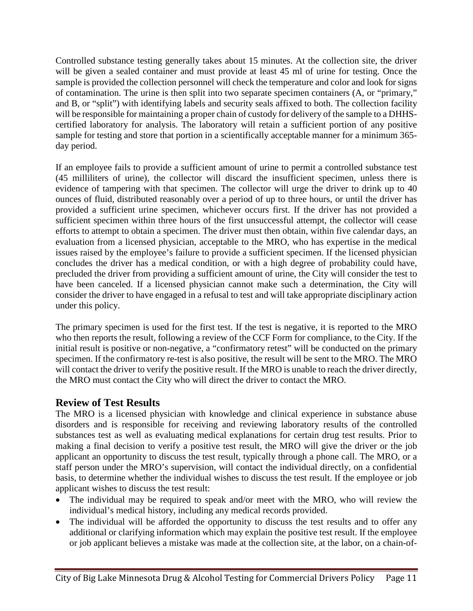Controlled substance testing generally takes about 15 minutes. At the collection site, the driver will be given a sealed container and must provide at least 45 ml of urine for testing. Once the sample is provided the collection personnel will check the temperature and color and look for signs of contamination. The urine is then split into two separate specimen containers (A, or "primary," and B, or "split") with identifying labels and security seals affixed to both. The collection facility will be responsible for maintaining a proper chain of custody for delivery of the sample to a DHHScertified laboratory for analysis. The laboratory will retain a sufficient portion of any positive sample for testing and store that portion in a scientifically acceptable manner for a minimum 365 day period.

If an employee fails to provide a sufficient amount of urine to permit a controlled substance test (45 milliliters of urine), the collector will discard the insufficient specimen, unless there is evidence of tampering with that specimen. The collector will urge the driver to drink up to 40 ounces of fluid, distributed reasonably over a period of up to three hours, or until the driver has provided a sufficient urine specimen, whichever occurs first. If the driver has not provided a sufficient specimen within three hours of the first unsuccessful attempt, the collector will cease efforts to attempt to obtain a specimen. The driver must then obtain, within five calendar days, an evaluation from a licensed physician, acceptable to the MRO, who has expertise in the medical issues raised by the employee's failure to provide a sufficient specimen. If the licensed physician concludes the driver has a medical condition, or with a high degree of probability could have, precluded the driver from providing a sufficient amount of urine, the City will consider the test to have been canceled. If a licensed physician cannot make such a determination, the City will consider the driver to have engaged in a refusal to test and will take appropriate disciplinary action under this policy.

The primary specimen is used for the first test. If the test is negative, it is reported to the MRO who then reports the result, following a review of the CCF Form for compliance, to the City. If the initial result is positive or non-negative, a "confirmatory retest" will be conducted on the primary specimen. If the confirmatory re-test is also positive, the result will be sent to the MRO. The MRO will contact the driver to verify the positive result. If the MRO is unable to reach the driver directly, the MRO must contact the City who will direct the driver to contact the MRO.

## <span id="page-10-0"></span>**Review of Test Results**

The MRO is a licensed physician with knowledge and clinical experience in substance abuse disorders and is responsible for receiving and reviewing laboratory results of the controlled substances test as well as evaluating medical explanations for certain drug test results. Prior to making a final decision to verify a positive test result, the MRO will give the driver or the job applicant an opportunity to discuss the test result, typically through a phone call. The MRO, or a staff person under the MRO's supervision, will contact the individual directly, on a confidential basis, to determine whether the individual wishes to discuss the test result. If the employee or job applicant wishes to discuss the test result:

- The individual may be required to speak and/or meet with the MRO, who will review the individual's medical history, including any medical records provided.
- The individual will be afforded the opportunity to discuss the test results and to offer any additional or clarifying information which may explain the positive test result. If the employee or job applicant believes a mistake was made at the collection site, at the labor, on a chain-of-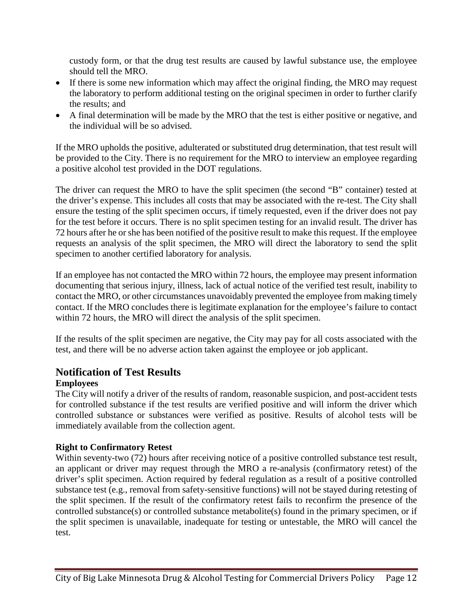custody form, or that the drug test results are caused by lawful substance use, the employee should tell the MRO.

- If there is some new information which may affect the original finding, the MRO may request the laboratory to perform additional testing on the original specimen in order to further clarify the results; and
- A final determination will be made by the MRO that the test is either positive or negative, and the individual will be so advised.

If the MRO upholds the positive, adulterated or substituted drug determination, that test result will be provided to the City. There is no requirement for the MRO to interview an employee regarding a positive alcohol test provided in the DOT regulations.

The driver can request the MRO to have the split specimen (the second "B" container) tested at the driver's expense. This includes all costs that may be associated with the re-test. The City shall ensure the testing of the split specimen occurs, if timely requested, even if the driver does not pay for the test before it occurs. There is no split specimen testing for an invalid result. The driver has 72 hours after he or she has been notified of the positive result to make this request. If the employee requests an analysis of the split specimen, the MRO will direct the laboratory to send the split specimen to another certified laboratory for analysis.

If an employee has not contacted the MRO within 72 hours, the employee may present information documenting that serious injury, illness, lack of actual notice of the verified test result, inability to contact the MRO, or other circumstances unavoidably prevented the employee from making timely contact. If the MRO concludes there is legitimate explanation for the employee's failure to contact within 72 hours, the MRO will direct the analysis of the split specimen.

If the results of the split specimen are negative, the City may pay for all costs associated with the test, and there will be no adverse action taken against the employee or job applicant.

## <span id="page-11-0"></span>**Notification of Test Results**

## **Employees**

The City will notify a driver of the results of random, reasonable suspicion, and post-accident tests for controlled substance if the test results are verified positive and will inform the driver which controlled substance or substances were verified as positive. Results of alcohol tests will be immediately available from the collection agent.

### **Right to Confirmatory Retest**

Within seventy-two (72) hours after receiving notice of a positive controlled substance test result, an applicant or driver may request through the MRO a re-analysis (confirmatory retest) of the driver's split specimen. Action required by federal regulation as a result of a positive controlled substance test (e.g., removal from safety-sensitive functions) will not be stayed during retesting of the split specimen. If the result of the confirmatory retest fails to reconfirm the presence of the controlled substance(s) or controlled substance metabolite(s) found in the primary specimen, or if the split specimen is unavailable, inadequate for testing or untestable, the MRO will cancel the test.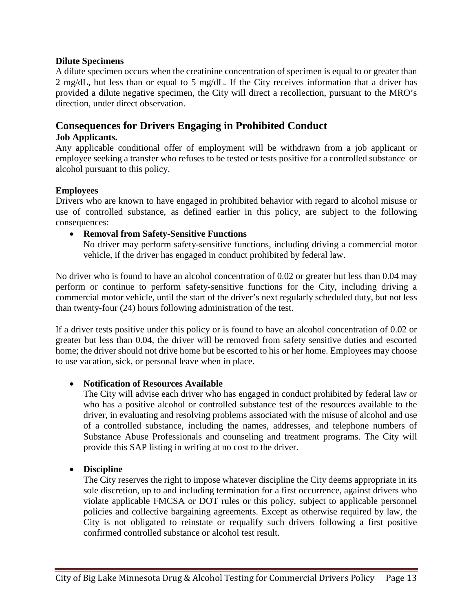#### **Dilute Specimens**

A dilute specimen occurs when the creatinine concentration of specimen is equal to or greater than 2 mg/dL, but less than or equal to 5 mg/dL. If the City receives information that a driver has provided a dilute negative specimen, the City will direct a recollection, pursuant to the MRO's direction, under direct observation.

## <span id="page-12-0"></span>**Consequences for Drivers Engaging in Prohibited Conduct**

#### **Job Applicants.**

Any applicable conditional offer of employment will be withdrawn from a job applicant or employee seeking a transfer who refuses to be tested or tests positive for a controlled substance or alcohol pursuant to this policy.

#### **Employees**

Drivers who are known to have engaged in prohibited behavior with regard to alcohol misuse or use of controlled substance, as defined earlier in this policy, are subject to the following consequences:

#### • **Removal from Safety-Sensitive Functions**

No driver may perform safety-sensitive functions, including driving a commercial motor vehicle, if the driver has engaged in conduct prohibited by federal law.

No driver who is found to have an alcohol concentration of 0.02 or greater but less than 0.04 may perform or continue to perform safety-sensitive functions for the City, including driving a commercial motor vehicle, until the start of the driver's next regularly scheduled duty, but not less than twenty-four (24) hours following administration of the test.

If a driver tests positive under this policy or is found to have an alcohol concentration of 0.02 or greater but less than 0.04, the driver will be removed from safety sensitive duties and escorted home; the driver should not drive home but be escorted to his or her home. Employees may choose to use vacation, sick, or personal leave when in place.

#### • **Notification of Resources Available**

The City will advise each driver who has engaged in conduct prohibited by federal law or who has a positive alcohol or controlled substance test of the resources available to the driver, in evaluating and resolving problems associated with the misuse of alcohol and use of a controlled substance, including the names, addresses, and telephone numbers of Substance Abuse Professionals and counseling and treatment programs. The City will provide this SAP listing in writing at no cost to the driver.

#### • **Discipline**

The City reserves the right to impose whatever discipline the City deems appropriate in its sole discretion, up to and including termination for a first occurrence, against drivers who violate applicable FMCSA or DOT rules or this policy, subject to applicable personnel policies and collective bargaining agreements. Except as otherwise required by law, the City is not obligated to reinstate or requalify such drivers following a first positive confirmed controlled substance or alcohol test result.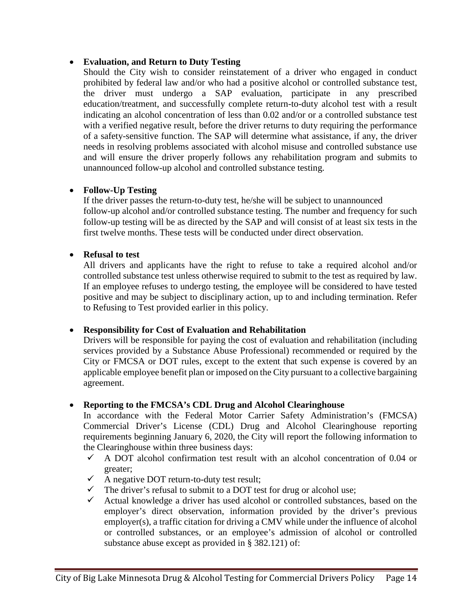#### • **Evaluation, and Return to Duty Testing**

Should the City wish to consider reinstatement of a driver who engaged in conduct prohibited by federal law and/or who had a positive alcohol or controlled substance test, the driver must undergo a SAP evaluation, participate in any prescribed education/treatment, and successfully complete return-to-duty alcohol test with a result indicating an alcohol concentration of less than 0.02 and/or or a controlled substance test with a verified negative result, before the driver returns to duty requiring the performance of a safety-sensitive function. The SAP will determine what assistance, if any, the driver needs in resolving problems associated with alcohol misuse and controlled substance use and will ensure the driver properly follows any rehabilitation program and submits to unannounced follow-up alcohol and controlled substance testing.

#### • **Follow-Up Testing**

If the driver passes the return-to-duty test, he/she will be subject to unannounced follow-up alcohol and/or controlled substance testing. The number and frequency for such follow-up testing will be as directed by the SAP and will consist of at least six tests in the first twelve months. These tests will be conducted under direct observation.

#### • **Refusal to test**

All drivers and applicants have the right to refuse to take a required alcohol and/or controlled substance test unless otherwise required to submit to the test as required by law. If an employee refuses to undergo testing, the employee will be considered to have tested positive and may be subject to disciplinary action, up to and including termination. Refer to Refusing to Test provided earlier in this policy.

#### • **Responsibility for Cost of Evaluation and Rehabilitation**

Drivers will be responsible for paying the cost of evaluation and rehabilitation (including services provided by a Substance Abuse Professional) recommended or required by the City or FMCSA or DOT rules, except to the extent that such expense is covered by an applicable employee benefit plan or imposed on the City pursuant to a collective bargaining agreement.

### • **Reporting to the FMCSA's CDL Drug and Alcohol Clearinghouse**

In accordance with the Federal Motor Carrier Safety Administration's (FMCSA) Commercial Driver's License (CDL) Drug and Alcohol Clearinghouse reporting requirements beginning January 6, 2020, the City will report the following information to the Clearinghouse within three business days:

- $\checkmark$  A DOT alcohol confirmation test result with an alcohol concentration of 0.04 or greater;
- $\checkmark$  A negative DOT return-to-duty test result;
- $\checkmark$  The driver's refusal to submit to a DOT test for drug or alcohol use;
- $\checkmark$  Actual knowledge a driver has used alcohol or controlled substances, based on the employer's direct observation, information provided by the driver's previous employer(s), a traffic citation for driving a CMV while under the influence of alcohol or controlled substances, or an employee's admission of alcohol or controlled substance abuse except as provided in § 382.121) of: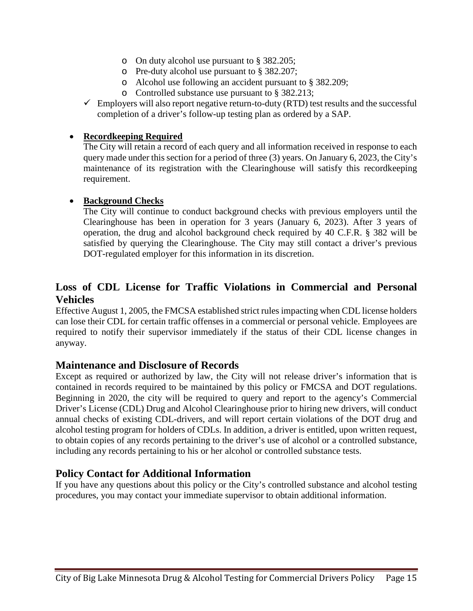- o On duty alcohol use pursuant to § 382.205;
- o Pre-duty alcohol use pursuant to § 382.207;
- o Alcohol use following an accident pursuant to § 382.209;
- o Controlled substance use pursuant to § 382.213;
- $\checkmark$  Employers will also report negative return-to-duty (RTD) test results and the successful completion of a driver's follow-up testing plan as ordered by a SAP.

#### • **Recordkeeping Required**

The City will retain a record of each query and all information received in response to each query made under this section for a period of three (3) years. On January 6, 2023, the City's maintenance of its registration with the Clearinghouse will satisfy this recordkeeping requirement.

#### • **Background Checks**

The City will continue to conduct background checks with previous employers until the Clearinghouse has been in operation for 3 years (January 6, 2023). After 3 years of operation, the drug and alcohol background check required by 40 C.F.R. § 382 will be satisfied by querying the Clearinghouse. The City may still contact a driver's previous DOT-regulated employer for this information in its discretion.

## <span id="page-14-0"></span>**Loss of CDL License for Traffic Violations in Commercial and Personal Vehicles**

Effective August 1, 2005, the FMCSA established strict rules impacting when CDL license holders can lose their CDL for certain traffic offenses in a commercial or personal vehicle. Employees are required to notify their supervisor immediately if the status of their CDL license changes in anyway.

#### **Maintenance and Disclosure of Records**

Except as required or authorized by law, the City will not release driver's information that is contained in records required to be maintained by this policy or FMCSA and DOT regulations. Beginning in 2020, the city will be required to query and report to the agency's Commercial Driver's License (CDL) Drug and Alcohol Clearinghouse prior to hiring new drivers, will conduct annual checks of existing CDL-drivers, and will report certain violations of the DOT drug and alcohol testing program for holders of CDLs. In addition, a driver is entitled, upon written request, to obtain copies of any records pertaining to the driver's use of alcohol or a controlled substance, including any records pertaining to his or her alcohol or controlled substance tests.

### **Policy Contact for Additional Information**

If you have any questions about this policy or the City's controlled substance and alcohol testing procedures, you may contact your immediate supervisor to obtain additional information.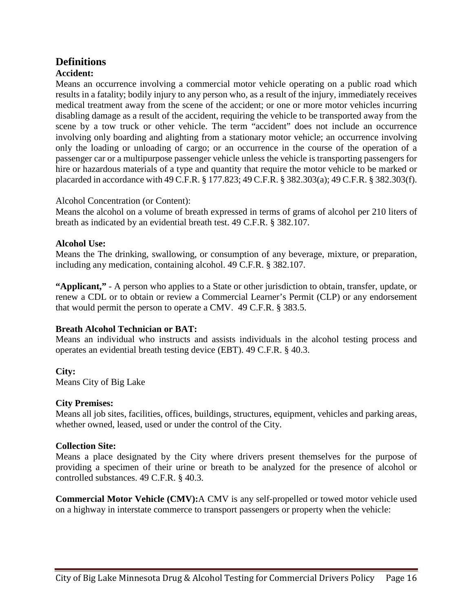## <span id="page-15-0"></span>**Definitions**

## **Accident:**

Means an occurrence involving a commercial motor vehicle operating on a public road which results in a fatality; bodily injury to any person who, as a result of the injury, immediately receives medical treatment away from the scene of the accident; or one or more motor vehicles incurring disabling damage as a result of the accident, requiring the vehicle to be transported away from the scene by a tow truck or other vehicle. The term "accident" does not include an occurrence involving only boarding and alighting from a stationary motor vehicle; an occurrence involving only the loading or unloading of cargo; or an occurrence in the course of the operation of a passenger car or a multipurpose passenger vehicle unless the vehicle is transporting passengers for hire or hazardous materials of a type and quantity that require the motor vehicle to be marked or placarded in accordance with 49 C.F.R. § 177.823; 49 C.F.R. § 382.303(a); 49 C.F.R. § 382.303(f).

#### Alcohol Concentration (or Content):

Means the alcohol on a volume of breath expressed in terms of grams of alcohol per 210 liters of breath as indicated by an evidential breath test. 49 C.F.R. § 382.107.

#### **Alcohol Use:**

Means the The drinking, swallowing, or consumption of any beverage, mixture, or preparation, including any medication, containing alcohol. 49 C.F.R. § 382.107.

**"Applicant,"** - A person who applies to a State or other jurisdiction to obtain, transfer, update, or renew a CDL or to obtain or review a Commercial Learner's Permit (CLP) or any endorsement that would permit the person to operate a CMV. 49 C.F.R. § 383.5.

### **Breath Alcohol Technician or BAT:**

Means an individual who instructs and assists individuals in the alcohol testing process and operates an evidential breath testing device (EBT). 49 C.F.R. § 40.3.

**City:** Means City of Big Lake

#### **City Premises:**

Means all job sites, facilities, offices, buildings, structures, equipment, vehicles and parking areas, whether owned, leased, used or under the control of the City.

#### **Collection Site:**

Means a place designated by the City where drivers present themselves for the purpose of providing a specimen of their urine or breath to be analyzed for the presence of alcohol or controlled substances. 49 C.F.R. § 40.3.

**Commercial Motor Vehicle (CMV):**A CMV is any self-propelled or towed motor vehicle used on a highway in interstate commerce to transport passengers or property when the vehicle: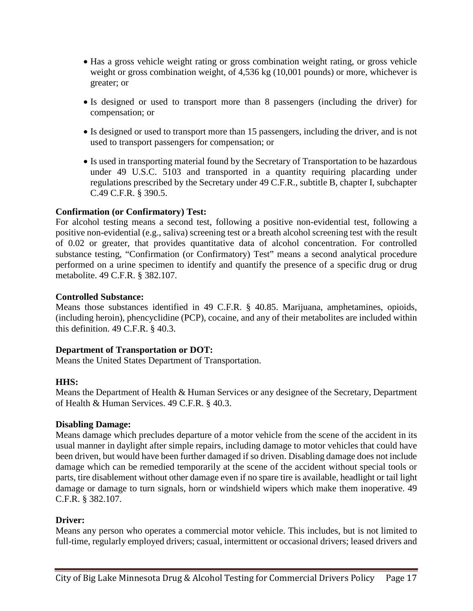- Has a gross vehicle weight rating or gross combination weight rating, or gross vehicle weight or gross combination weight, of 4,536 kg (10,001 pounds) or more, whichever is greater; or
- Is designed or used to transport more than 8 passengers (including the driver) for compensation; or
- Is designed or used to transport more than 15 passengers, including the driver, and is not used to transport passengers for compensation; or
- Is used in transporting material found by the Secretary of Transportation to be hazardous under 49 U.S.C. 5103 and transported in a quantity requiring placarding under regulations prescribed by the Secretary under 49 C.F.R., subtitle B, chapter I, subchapter C.49 C.F.R. § 390.5.

#### **Confirmation (or Confirmatory) Test:**

For alcohol testing means a second test, following a positive non-evidential test, following a positive non-evidential (e.g., saliva) screening test or a breath alcohol screening test with the result of 0.02 or greater, that provides quantitative data of alcohol concentration. For controlled substance testing, "Confirmation (or Confirmatory) Test" means a second analytical procedure performed on a urine specimen to identify and quantify the presence of a specific drug or drug metabolite. 49 C.F.R. § 382.107.

#### **Controlled Substance:**

Means those substances identified in 49 C.F.R. § 40.85. Marijuana, amphetamines, opioids, (including heroin), phencyclidine (PCP), cocaine, and any of their metabolites are included within this definition. 49 C.F.R. § 40.3.

#### **Department of Transportation or DOT:**

Means the United States Department of Transportation.

#### **HHS:**

Means the Department of Health & Human Services or any designee of the Secretary, Department of Health & Human Services. 49 C.F.R. § 40.3.

#### **Disabling Damage:**

Means damage which precludes departure of a motor vehicle from the scene of the accident in its usual manner in daylight after simple repairs, including damage to motor vehicles that could have been driven, but would have been further damaged if so driven. Disabling damage does not include damage which can be remedied temporarily at the scene of the accident without special tools or parts, tire disablement without other damage even if no spare tire is available, headlight or tail light damage or damage to turn signals, horn or windshield wipers which make them inoperative. 49 C.F.R. § 382.107.

#### **Driver:**

Means any person who operates a commercial motor vehicle. This includes, but is not limited to full-time, regularly employed drivers; casual, intermittent or occasional drivers; leased drivers and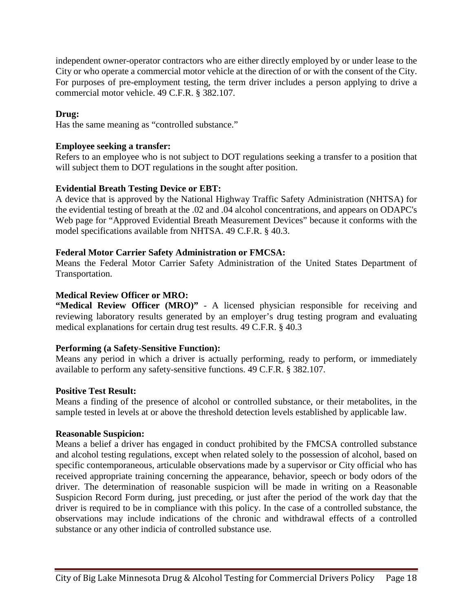independent owner-operator contractors who are either directly employed by or under lease to the City or who operate a commercial motor vehicle at the direction of or with the consent of the City. For purposes of pre-employment testing, the term driver includes a person applying to drive a commercial motor vehicle. 49 C.F.R. § 382.107.

#### **Drug:**

Has the same meaning as "controlled substance."

#### **Employee seeking a transfer:**

Refers to an employee who is not subject to DOT regulations seeking a transfer to a position that will subject them to DOT regulations in the sought after position.

#### **Evidential Breath Testing Device or EBT:**

A device that is approved by the National Highway Traffic Safety Administration (NHTSA) for the evidential testing of breath at the .02 and .04 alcohol concentrations, and appears on ODAPC's Web page for "Approved Evidential Breath Measurement Devices" because it conforms with the model specifications available from NHTSA. 49 C.F.R. § 40.3.

#### **Federal Motor Carrier Safety Administration or FMCSA:**

Means the Federal Motor Carrier Safety Administration of the United States Department of Transportation.

#### **Medical Review Officer or MRO:**

**"Medical Review Officer (MRO)"** - A licensed physician responsible for receiving and reviewing laboratory results generated by an employer's drug testing program and evaluating medical explanations for certain drug test results. 49 C.F.R. § 40.3

#### **Performing (a Safety-Sensitive Function):**

Means any period in which a driver is actually performing, ready to perform, or immediately available to perform any safety-sensitive functions. 49 C.F.R. § 382.107.

#### **Positive Test Result:**

Means a finding of the presence of alcohol or controlled substance, or their metabolites, in the sample tested in levels at or above the threshold detection levels established by applicable law.

#### **Reasonable Suspicion:**

Means a belief a driver has engaged in conduct prohibited by the FMCSA controlled substance and alcohol testing regulations, except when related solely to the possession of alcohol, based on specific contemporaneous, articulable observations made by a supervisor or City official who has received appropriate training concerning the appearance, behavior, speech or body odors of the driver. The determination of reasonable suspicion will be made in writing on a Reasonable Suspicion Record Form during, just preceding, or just after the period of the work day that the driver is required to be in compliance with this policy. In the case of a controlled substance, the observations may include indications of the chronic and withdrawal effects of a controlled substance or any other indicia of controlled substance use.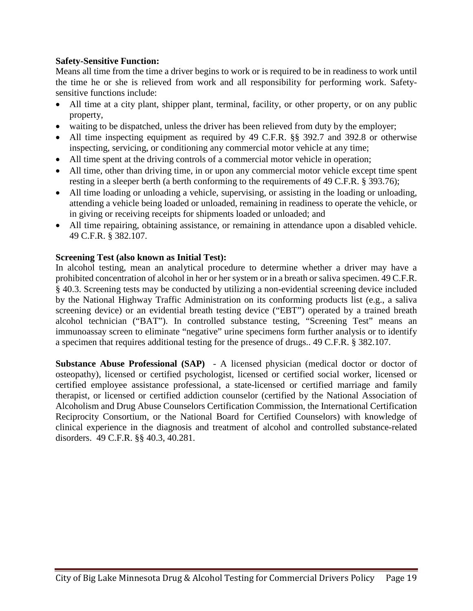#### **Safety-Sensitive Function:**

Means all time from the time a driver begins to work or is required to be in readiness to work until the time he or she is relieved from work and all responsibility for performing work. Safetysensitive functions include:

- All time at a city plant, shipper plant, terminal, facility, or other property, or on any public property,
- waiting to be dispatched, unless the driver has been relieved from duty by the employer;
- All time inspecting equipment as required by 49 C.F.R. §§ 392.7 and 392.8 or otherwise inspecting, servicing, or conditioning any commercial motor vehicle at any time;
- All time spent at the driving controls of a commercial motor vehicle in operation;
- All time, other than driving time, in or upon any commercial motor vehicle except time spent resting in a sleeper berth (a berth conforming to the requirements of 49 C.F.R. § 393.76);
- All time loading or unloading a vehicle, supervising, or assisting in the loading or unloading, attending a vehicle being loaded or unloaded, remaining in readiness to operate the vehicle, or in giving or receiving receipts for shipments loaded or unloaded; and
- All time repairing, obtaining assistance, or remaining in attendance upon a disabled vehicle. 49 C.F.R. § 382.107.

#### **Screening Test (also known as Initial Test):**

In alcohol testing, mean an analytical procedure to determine whether a driver may have a prohibited concentration of alcohol in her or her system or in a breath or saliva specimen. 49 C.F.R. § 40.3. Screening tests may be conducted by utilizing a non-evidential screening device included by the National Highway Traffic Administration on its conforming products list (e.g., a saliva screening device) or an evidential breath testing device ("EBT") operated by a trained breath alcohol technician ("BAT"). In controlled substance testing, "Screening Test" means an immunoassay screen to eliminate "negative" urine specimens form further analysis or to identify a specimen that requires additional testing for the presence of drugs.. 49 C.F.R. § 382.107.

**Substance Abuse Professional (SAP)** - A licensed physician (medical doctor or doctor of osteopathy), licensed or certified psychologist, licensed or certified social worker, licensed or certified employee assistance professional, a state-licensed or certified marriage and family therapist, or licensed or certified addiction counselor (certified by the National Association of Alcoholism and Drug Abuse Counselors Certification Commission, the International Certification Reciprocity Consortium, or the National Board for Certified Counselors) with knowledge of clinical experience in the diagnosis and treatment of alcohol and controlled substance-related disorders. 49 C.F.R. §§ 40.3, 40.281.